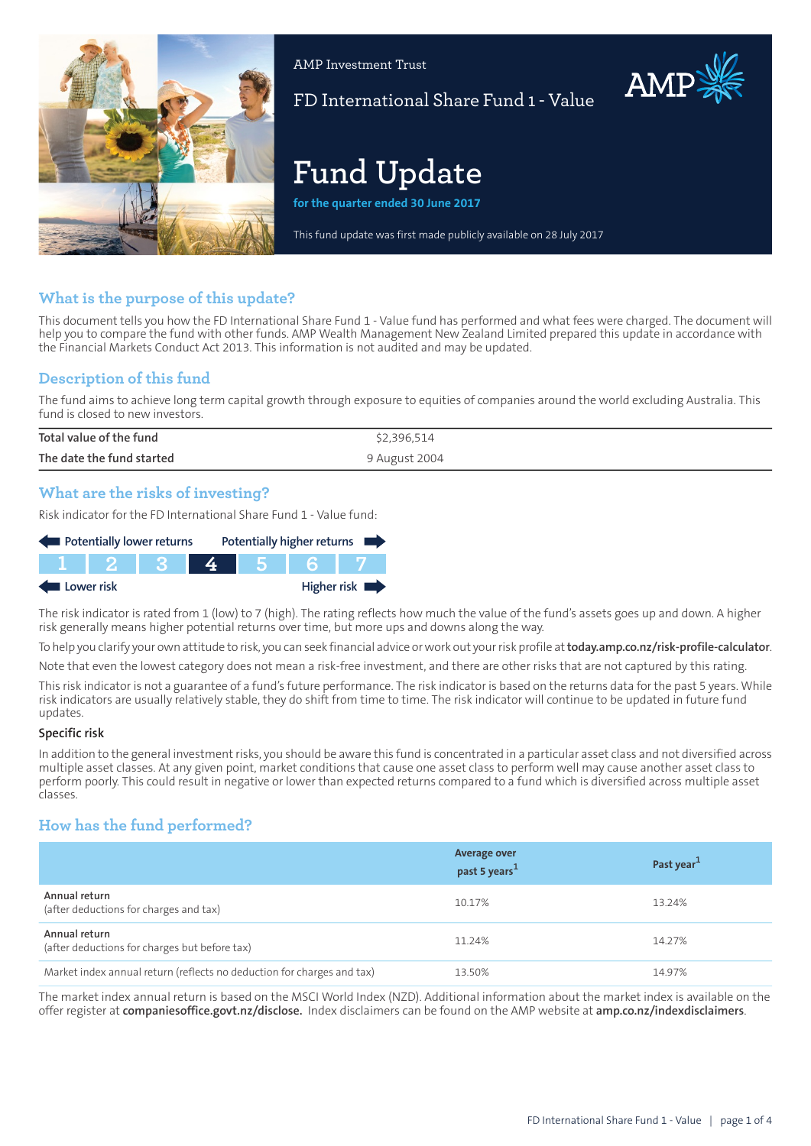

AMP Investment Trust

FD International Share Fund 1 - Value

AMP

# **Fund Update**

**for the quarter ended 30 June 2017**

This fund update was first made publicly available on 28 July 2017

# **What is the purpose of this update?**

This document tells you how the FD International Share Fund 1 - Value fund has performed and what fees were charged. The document will help you to compare the fund with other funds. AMP Wealth Management New Zealand Limited prepared this update in accordance with the Financial Markets Conduct Act 2013. This information is not audited and may be updated.

# **Description of this fund**

The fund aims to achieve long term capital growth through exposure to equities of companies around the world excluding Australia. This fund is closed to new investors.

| Total value of the fund   | \$2,396,514   |
|---------------------------|---------------|
| The date the fund started | 9 August 2004 |

## **What are the risks of investing?**

Risk indicator for the FD International Share Fund 1 - Value fund:

| Potentially lower returns                |  |  |  |  | Potentially higher returns |  |
|------------------------------------------|--|--|--|--|----------------------------|--|
|                                          |  |  |  |  |                            |  |
| Higher risk $\blacksquare$<br>Lower risk |  |  |  |  |                            |  |

The risk indicator is rated from 1 (low) to 7 (high). The rating reflects how much the value of the fund's assets goes up and down. A higher risk generally means higher potential returns over time, but more ups and downs along the way.

To help you clarify your own attitude to risk, you can seek financial advice orwork out yourrisk profile at**[today.amp.co.nz/risk-profile-calculator](http://today.amp.co.nz/risk-profile-calculator)**.

Note that even the lowest category does not mean a risk-free investment, and there are other risks that are not captured by this rating.

This risk indicator is not a guarantee of a fund's future performance. The risk indicator is based on the returns data for the past 5 years. While risk indicators are usually relatively stable, they do shift from time to time. The risk indicator will continue to be updated in future fund updates.

#### **Specific risk**

In addition to the general investmentrisks, you should be aware this fund is concentrated in a particular asset class and not diversified across multiple asset classes. At any given point, market conditions that cause one asset class to perform well may cause another asset class to perform poorly. This could result in negative or lower than expected returns compared to a fund which is diversified across multiple asset classes.

# **How has the fund performed?**

|                                                                        | <b>Average over</b><br>past 5 years <sup>1</sup> | Past year <sup>1</sup> |
|------------------------------------------------------------------------|--------------------------------------------------|------------------------|
| Annual return<br>(after deductions for charges and tax)                | 10.17%                                           | 13.24%                 |
| Annual return<br>(after deductions for charges but before tax)         | 11.24%                                           | 14.27%                 |
| Market index annual return (reflects no deduction for charges and tax) | 13.50%                                           | 14.97%                 |

The market index annual return is based on the MSCI World Index (NZD). Additional information about the market index is available on the offer register at **[companiesoffice.govt.nz/disclose.](http://companiesoffice.govt.nz/disclose)** Index disclaimers can be found on the AMP website at **[amp.co.nz/indexdisclaimers](http://amp.co.nz/indexdisclaimers)**.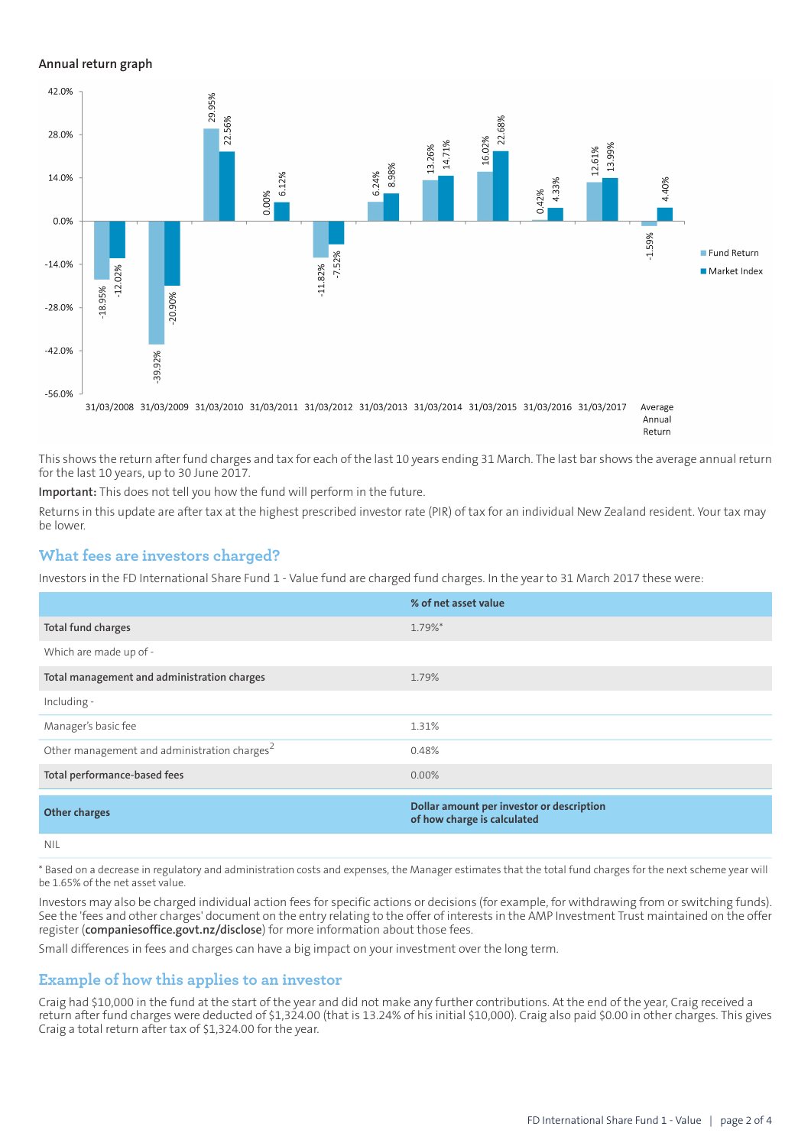#### **Annual return graph**



This shows the return after fund charges and tax for each of the last 10 years ending 31 March. The last bar shows the average annual return for the last 10 years, up to 30 June 2017.

**Important:** This does not tell you how the fund will perform in the future.

Returns in this update are after tax at the highest prescribed investor rate (PIR) of tax for an individual New Zealand resident. Your tax may be lower.

#### **What fees are investors charged?**

Investors in the FD International Share Fund 1 - Value fund are charged fund charges. In the year to 31 March 2017 these were:

|                                                          | % of net asset value                                                     |
|----------------------------------------------------------|--------------------------------------------------------------------------|
| Total fund charges                                       | 1.79%*                                                                   |
| Which are made up of -                                   |                                                                          |
| Total management and administration charges              | 1.79%                                                                    |
| Including -                                              |                                                                          |
| Manager's basic fee                                      | 1.31%                                                                    |
| Other management and administration charges <sup>2</sup> | 0.48%                                                                    |
| Total performance-based fees                             | $0.00\%$                                                                 |
| <b>Other charges</b>                                     | Dollar amount per investor or description<br>of how charge is calculated |
| NII                                                      |                                                                          |

\* Based on a decrease in regulatory and administration costs and expenses, the Manager estimates that the total fund charges for the next scheme year will be 1.65% of the net asset value.

Investors may also be charged individual action fees for specific actions or decisions (for example, for withdrawing from or switching funds). See the 'fees and other charges' document on the entry relating to the offer of interests in the AMP Investment Trust maintained on the offer register (**[companiesoffice.govt.nz/disclose](http://companiesoffice.govt.nz/disclose)**) for more information about those fees.

Small differences in fees and charges can have a big impact on your investment over the long term.

## **Example of how this applies to an investor**

Craig had \$10,000 in the fund at the start of the year and did not make any further contributions. At the end of the year, Craig received a return after fund charges were deducted of \$1,324.00 (that is 13.24% of his initial \$10,000). Craig also paid \$0.00 in other charges. This gives Craig a total return after tax of \$1,324.00 for the year.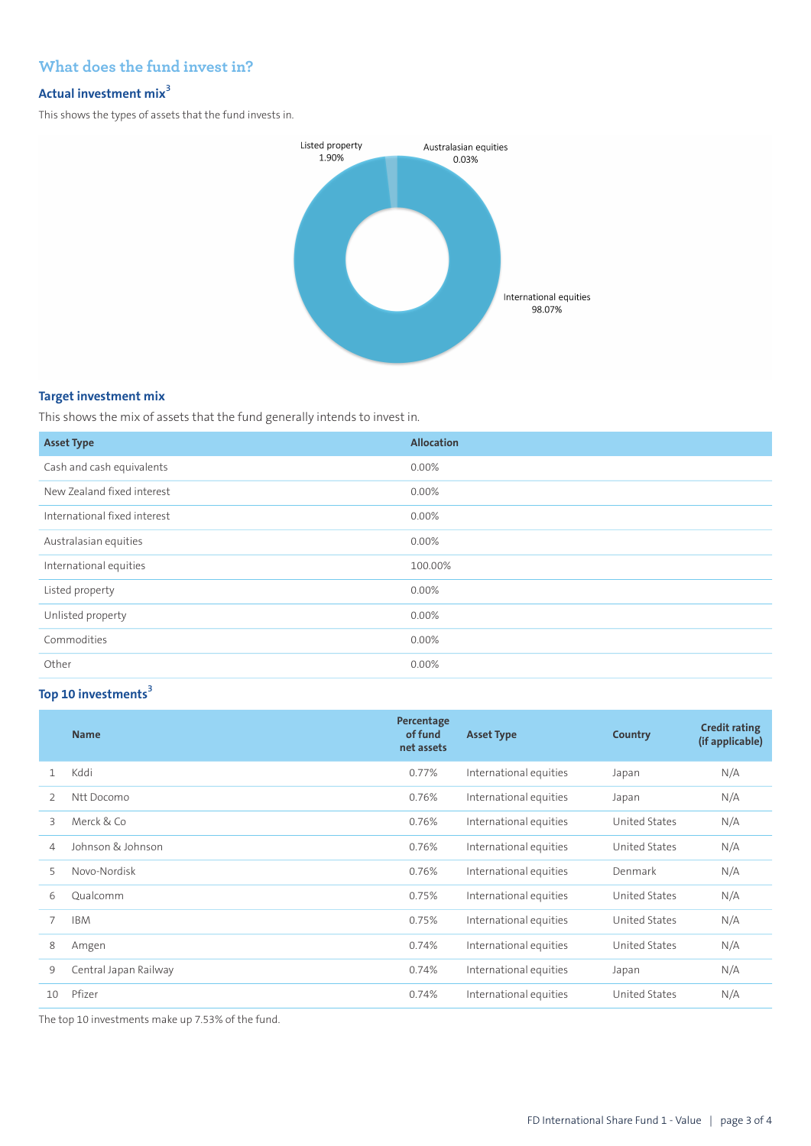# **What does the fund invest in?**

# **Actual investment mix<sup>3</sup>**

This shows the types of assets that the fund invests in.



## **Target investment mix**

This shows the mix of assets that the fund generally intends to invest in.

| <b>Asset Type</b>            | <b>Allocation</b> |
|------------------------------|-------------------|
| Cash and cash equivalents    | $0.00\%$          |
| New Zealand fixed interest   | 0.00%             |
| International fixed interest | 0.00%             |
| Australasian equities        | 0.00%             |
| International equities       | 100.00%           |
| Listed property              | 0.00%             |
| Unlisted property            | 0.00%             |
| Commodities                  | 0.00%             |
| Other                        | 0.00%             |

# **Top 10 investments<sup>3</sup>**

|               | <b>Name</b>           | Percentage<br>of fund<br>net assets | <b>Asset Type</b>      | Country              | <b>Credit rating</b><br>(if applicable) |
|---------------|-----------------------|-------------------------------------|------------------------|----------------------|-----------------------------------------|
| $\mathbf{1}$  | Kddi                  | 0.77%                               | International equities | Japan                | N/A                                     |
| $\mathcal{P}$ | Ntt Docomo            | 0.76%                               | International equities | Japan                | N/A                                     |
| 3             | Merck & Co            | 0.76%                               | International equities | United States        | N/A                                     |
| 4             | Johnson & Johnson     | 0.76%                               | International equities | <b>United States</b> | N/A                                     |
| 5             | Novo-Nordisk          | 0.76%                               | International equities | Denmark              | N/A                                     |
| 6             | Oualcomm              | 0.75%                               | International equities | United States        | N/A                                     |
|               | <b>IBM</b>            | 0.75%                               | International equities | United States        | N/A                                     |
| 8             | Amgen                 | 0.74%                               | International equities | United States        | N/A                                     |
| 9             | Central Japan Railway | 0.74%                               | International equities | Japan                | N/A                                     |
| 10            | Pfizer                | 0.74%                               | International equities | United States        | N/A                                     |

The top 10 investments make up 7.53% of the fund.